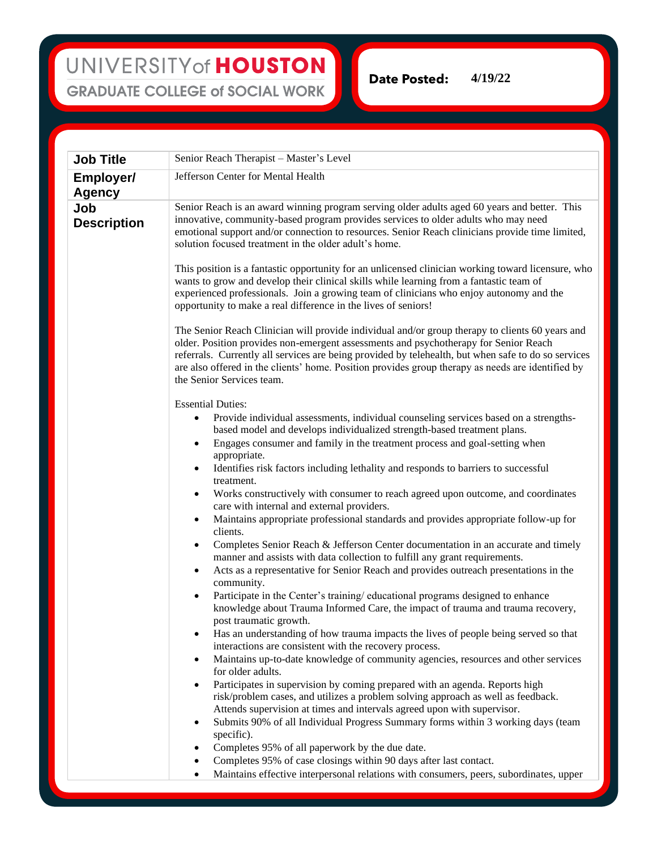## UNIVERSITY of HOUSTON **GRADUATE COLLEGE of SOCIAL WORK**

**Date Posted: 4/19/22**

| <b>Job Title</b>                  | Senior Reach Therapist - Master's Level                                                                                                                                                                                                                                                                                                                                                                                                                                                                                                                                                                                                                                                                                                                                                                                                                                                                                                                                                                                                                                                                                                                                                                                                                                                                                                                                                                                                                                                                                                                                                                                                                                                                                                                                                                                                                                                                                                                                                                                                                   |
|-----------------------------------|-----------------------------------------------------------------------------------------------------------------------------------------------------------------------------------------------------------------------------------------------------------------------------------------------------------------------------------------------------------------------------------------------------------------------------------------------------------------------------------------------------------------------------------------------------------------------------------------------------------------------------------------------------------------------------------------------------------------------------------------------------------------------------------------------------------------------------------------------------------------------------------------------------------------------------------------------------------------------------------------------------------------------------------------------------------------------------------------------------------------------------------------------------------------------------------------------------------------------------------------------------------------------------------------------------------------------------------------------------------------------------------------------------------------------------------------------------------------------------------------------------------------------------------------------------------------------------------------------------------------------------------------------------------------------------------------------------------------------------------------------------------------------------------------------------------------------------------------------------------------------------------------------------------------------------------------------------------------------------------------------------------------------------------------------------------|
| <b>Employer/</b><br><b>Agency</b> | Jefferson Center for Mental Health                                                                                                                                                                                                                                                                                                                                                                                                                                                                                                                                                                                                                                                                                                                                                                                                                                                                                                                                                                                                                                                                                                                                                                                                                                                                                                                                                                                                                                                                                                                                                                                                                                                                                                                                                                                                                                                                                                                                                                                                                        |
| Job<br><b>Description</b>         | Senior Reach is an award winning program serving older adults aged 60 years and better. This<br>innovative, community-based program provides services to older adults who may need<br>emotional support and/or connection to resources. Senior Reach clinicians provide time limited,<br>solution focused treatment in the older adult's home.                                                                                                                                                                                                                                                                                                                                                                                                                                                                                                                                                                                                                                                                                                                                                                                                                                                                                                                                                                                                                                                                                                                                                                                                                                                                                                                                                                                                                                                                                                                                                                                                                                                                                                            |
|                                   | This position is a fantastic opportunity for an unlicensed clinician working toward licensure, who<br>wants to grow and develop their clinical skills while learning from a fantastic team of<br>experienced professionals. Join a growing team of clinicians who enjoy autonomy and the<br>opportunity to make a real difference in the lives of seniors!                                                                                                                                                                                                                                                                                                                                                                                                                                                                                                                                                                                                                                                                                                                                                                                                                                                                                                                                                                                                                                                                                                                                                                                                                                                                                                                                                                                                                                                                                                                                                                                                                                                                                                |
|                                   | The Senior Reach Clinician will provide individual and/or group therapy to clients 60 years and<br>older. Position provides non-emergent assessments and psychotherapy for Senior Reach<br>referrals. Currently all services are being provided by telehealth, but when safe to do so services<br>are also offered in the clients' home. Position provides group therapy as needs are identified by<br>the Senior Services team.                                                                                                                                                                                                                                                                                                                                                                                                                                                                                                                                                                                                                                                                                                                                                                                                                                                                                                                                                                                                                                                                                                                                                                                                                                                                                                                                                                                                                                                                                                                                                                                                                          |
|                                   | <b>Essential Duties:</b><br>Provide individual assessments, individual counseling services based on a strengths-<br>$\bullet$<br>based model and develops individualized strength-based treatment plans.<br>Engages consumer and family in the treatment process and goal-setting when<br>$\bullet$<br>appropriate.<br>Identifies risk factors including lethality and responds to barriers to successful<br>$\bullet$<br>treatment.<br>Works constructively with consumer to reach agreed upon outcome, and coordinates<br>$\bullet$<br>care with internal and external providers.<br>Maintains appropriate professional standards and provides appropriate follow-up for<br>$\bullet$<br>clients.<br>Completes Senior Reach & Jefferson Center documentation in an accurate and timely<br>$\bullet$<br>manner and assists with data collection to fulfill any grant requirements.<br>Acts as a representative for Senior Reach and provides outreach presentations in the<br>$\bullet$<br>community.<br>Participate in the Center's training/educational programs designed to enhance<br>$\bullet$<br>knowledge about Trauma Informed Care, the impact of trauma and trauma recovery,<br>post traumatic growth.<br>Has an understanding of how trauma impacts the lives of people being served so that<br>interactions are consistent with the recovery process.<br>Maintains up-to-date knowledge of community agencies, resources and other services<br>٠<br>for older adults.<br>Participates in supervision by coming prepared with an agenda. Reports high<br>٠<br>risk/problem cases, and utilizes a problem solving approach as well as feedback.<br>Attends supervision at times and intervals agreed upon with supervisor.<br>Submits 90% of all Individual Progress Summary forms within 3 working days (team<br>specific).<br>Completes 95% of all paperwork by the due date.<br>Completes 95% of case closings within 90 days after last contact.<br>Maintains effective interpersonal relations with consumers, peers, subordinates, upper |